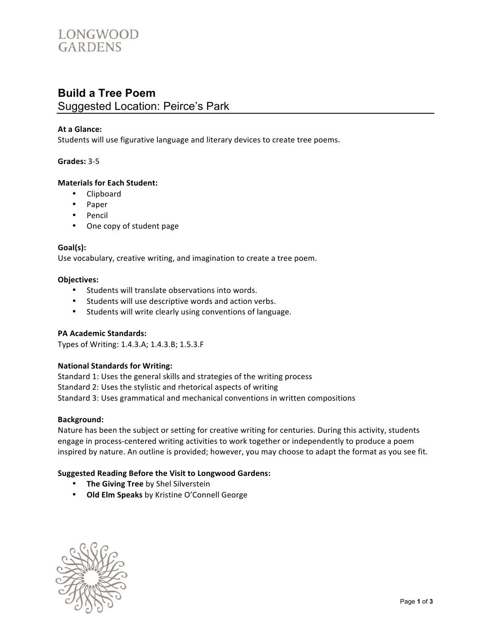# LONGWOOD **GARDENS**

## **Build a Tree Poem** Suggested Location: Peirce's Park

#### At a Glance:

Students will use figurative language and literary devices to create tree poems.

#### **Grades: 3-5**

#### **Materials for Each Student:**

- Clipboard
- Paper
- Pencil
- One copy of student page

#### **Goal(s):#**

Use vocabulary, creative writing, and imagination to create a tree poem.

#### **Objectives:**

- Students will translate observations into words.
- Students will use descriptive words and action verbs.
- Students will write clearly using conventions of language.

#### **PA Academic Standards:**

Types of Writing: 1.4.3.A; 1.4.3.B; 1.5.3.F

#### **National Standards for Writing:**

Standard 1: Uses the general skills and strategies of the writing process Standard 2: Uses the stylistic and rhetorical aspects of writing Standard 3: Uses grammatical and mechanical conventions in written compositions

#### **Background:**

Nature has been the subject or setting for creative writing for centuries. During this activity, students engage in process-centered writing activities to work together or independently to produce a poem inspired by nature. An outline is provided; however, you may choose to adapt the format as you see fit.

#### **Suggested Reading Before the Visit to Longwood Gardens:**

- **The Giving Tree** by Shel Silverstein
- Old Elm Speaks by Kristine O'Connell George

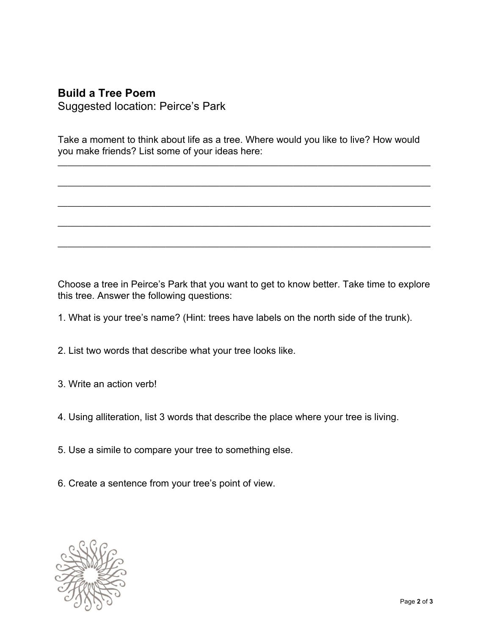## **Build a Tree Poem**

Suggested location: Peirce's Park

Take a moment to think about life as a tree. Where would you like to live? How would you make friends? List some of your ideas here:

\_\_\_\_\_\_\_\_\_\_\_\_\_\_\_\_\_\_\_\_\_\_\_\_\_\_\_\_\_\_\_\_\_\_\_\_\_\_\_\_\_\_\_\_\_\_\_\_\_\_\_\_\_\_\_\_\_\_\_\_\_\_\_\_\_\_\_\_\_\_\_\_\_\_\_\_

\_\_\_\_\_\_\_\_\_\_\_\_\_\_\_\_\_\_\_\_\_\_\_\_\_\_\_\_\_\_\_\_\_\_\_\_\_\_\_\_\_\_\_\_\_\_\_\_\_\_\_\_\_\_\_\_\_\_\_\_\_\_\_\_\_\_\_\_\_\_\_\_\_\_\_\_

\_\_\_\_\_\_\_\_\_\_\_\_\_\_\_\_\_\_\_\_\_\_\_\_\_\_\_\_\_\_\_\_\_\_\_\_\_\_\_\_\_\_\_\_\_\_\_\_\_\_\_\_\_\_\_\_\_\_\_\_\_\_\_\_\_\_\_\_\_\_\_\_\_\_\_\_

\_\_\_\_\_\_\_\_\_\_\_\_\_\_\_\_\_\_\_\_\_\_\_\_\_\_\_\_\_\_\_\_\_\_\_\_\_\_\_\_\_\_\_\_\_\_\_\_\_\_\_\_\_\_\_\_\_\_\_\_\_\_\_\_\_\_\_\_\_\_\_\_\_\_\_\_

\_\_\_\_\_\_\_\_\_\_\_\_\_\_\_\_\_\_\_\_\_\_\_\_\_\_\_\_\_\_\_\_\_\_\_\_\_\_\_\_\_\_\_\_\_\_\_\_\_\_\_\_\_\_\_\_\_\_\_\_\_\_\_\_\_\_\_\_\_\_\_\_\_\_\_\_

Choose a tree in Peirce's Park that you want to get to know better. Take time to explore this tree. Answer the following questions:

- 1. What is your tree's name? (Hint: trees have labels on the north side of the trunk).
- 2. List two words that describe what your tree looks like.
- 3. Write an action verb!
- 4. Using alliteration, list 3 words that describe the place where your tree is living.
- 5. Use a simile to compare your tree to something else.
- 6. Create a sentence from your tree's point of view.